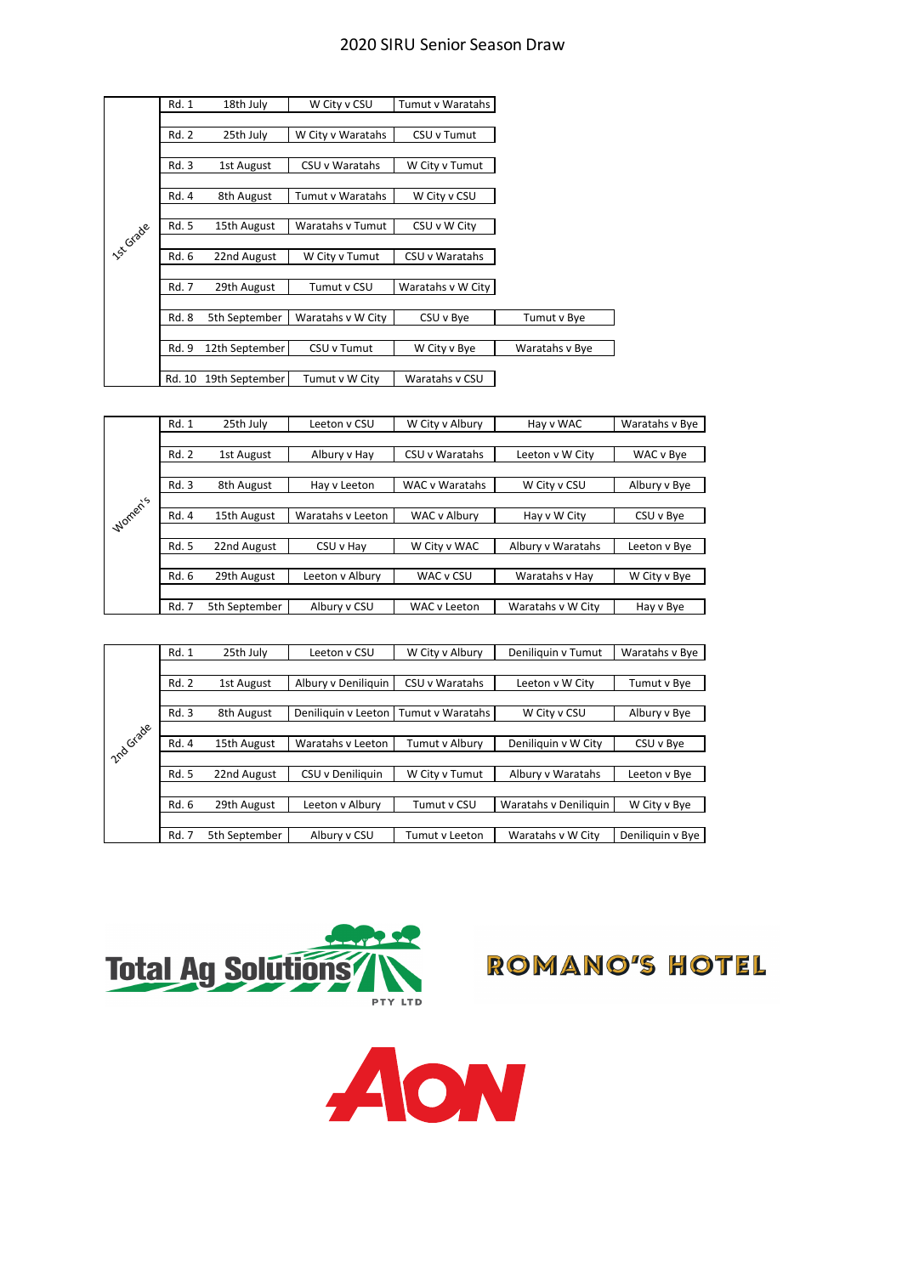## 2020 SIRU Senior Season Draw

|                   | Rd. 1        | 18th July      | W City v CSU            | <b>Tumut v Waratahs</b> |                |
|-------------------|--------------|----------------|-------------------------|-------------------------|----------------|
|                   |              |                |                         |                         |                |
|                   | Rd. 2        | 25th July      | W City v Waratahs       | CSU v Tumut             |                |
|                   |              |                |                         |                         |                |
|                   | Rd. 3        | 1st August     | CSU v Waratahs          | W City v Tumut          |                |
|                   |              |                |                         |                         |                |
|                   | Rd. 4        | 8th August     | <b>Tumut v Waratahs</b> | W City v CSU            |                |
|                   |              |                |                         |                         |                |
|                   | <b>Rd. 5</b> | 15th August    | <b>Waratahs v Tumut</b> | CSU v W City            |                |
| <b>15-5 Grade</b> |              |                |                         |                         |                |
|                   | Rd. 6        | 22nd August    | W City v Tumut          | CSU v Waratahs          |                |
|                   |              |                |                         |                         |                |
|                   | <b>Rd. 7</b> | 29th August    | Tumut v CSU             | Waratahs v W City       |                |
|                   |              |                |                         |                         |                |
|                   | <b>Rd. 8</b> | 5th September  | Waratahs v W City       | CSU v Bye               | Tumut v Bye    |
|                   |              |                |                         |                         |                |
|                   | Rd. 9        | 12th September | CSU v Tumut             | W City v Bye            | Waratahs v Bye |
|                   |              |                |                         |                         |                |
|                   | Rd. 10       | 19th September | Tumut v W City          | Waratahs v CSU          |                |

|         | Rd. 1        | 25th July     | Leeton y CSU      | W City v Albury | Hay v WAC         | Waratahs v Bye |
|---------|--------------|---------------|-------------------|-----------------|-------------------|----------------|
|         |              |               |                   |                 |                   |                |
|         | Rd. 2        | 1st August    | Albury v Hay      | CSU v Waratahs  | Leeton v W City   | WAC v Bye      |
|         |              |               |                   |                 |                   |                |
|         | Rd. 3        | 8th August    | Hay v Leeton      | WAC v Waratahs  | W City v CSU      | Albury v Bye   |
|         |              |               |                   |                 |                   |                |
| Women's | Rd. 4        | 15th August   | Waratahs y Leeton | WAC v Albury    | Hay v W City      | CSU v Bye      |
|         |              |               |                   |                 |                   |                |
|         | Rd. 5        | 22nd August   | CSU v Hay         | W City v WAC    | Albury v Waratahs | Leeton v Bye   |
|         |              |               |                   |                 |                   |                |
|         | Rd. 6        | 29th August   | Leeton v Albury   | WAC v CSU       | Waratahs v Hay    | W City v Bye   |
|         |              |               |                   |                 |                   |                |
|         | <b>Rd. 7</b> | 5th September | Albury v CSU      | WAC y Leeton    | Waratahs v W City | Hay v Bye      |

|                  | Rd. 1 | 25th July     | Leeton y CSU        | W City v Albury  | Deniliquin v Tumut    | Waratahs v Bye   |
|------------------|-------|---------------|---------------------|------------------|-----------------------|------------------|
|                  |       |               |                     |                  |                       |                  |
|                  | Rd. 2 | 1st August    | Albury v Deniliguin | CSU v Waratahs   | Leeton v W City       | Tumut v Bye      |
|                  |       |               |                     |                  |                       |                  |
|                  | Rd. 3 | 8th August    | Deniliquin y Leeton | Tumut v Waratahs | W City v CSU          | Albury v Bye     |
| <b>210 Grade</b> |       |               |                     |                  |                       |                  |
|                  | Rd. 4 | 15th August   | Waratahs y Leeton   | Tumut v Albury   | Deniliquin v W City   | CSU v Bye        |
|                  |       |               |                     |                  |                       |                  |
|                  | Rd. 5 | 22nd August   | CSU v Deniliauin    | W City y Tumut   | Albury y Waratahs     | Leeton v Bye     |
|                  |       |               |                     |                  |                       |                  |
|                  | Rd. 6 | 29th August   | Leeton y Albury     | Tumut v CSU      | Waratahs v Deniliquin | W City v Bye     |
|                  |       |               |                     |                  |                       |                  |
|                  | Rd. 7 | 5th September | Albury v CSU        | Tumut v Leeton   | Waratahs v W City     | Deniliquin v Bye |